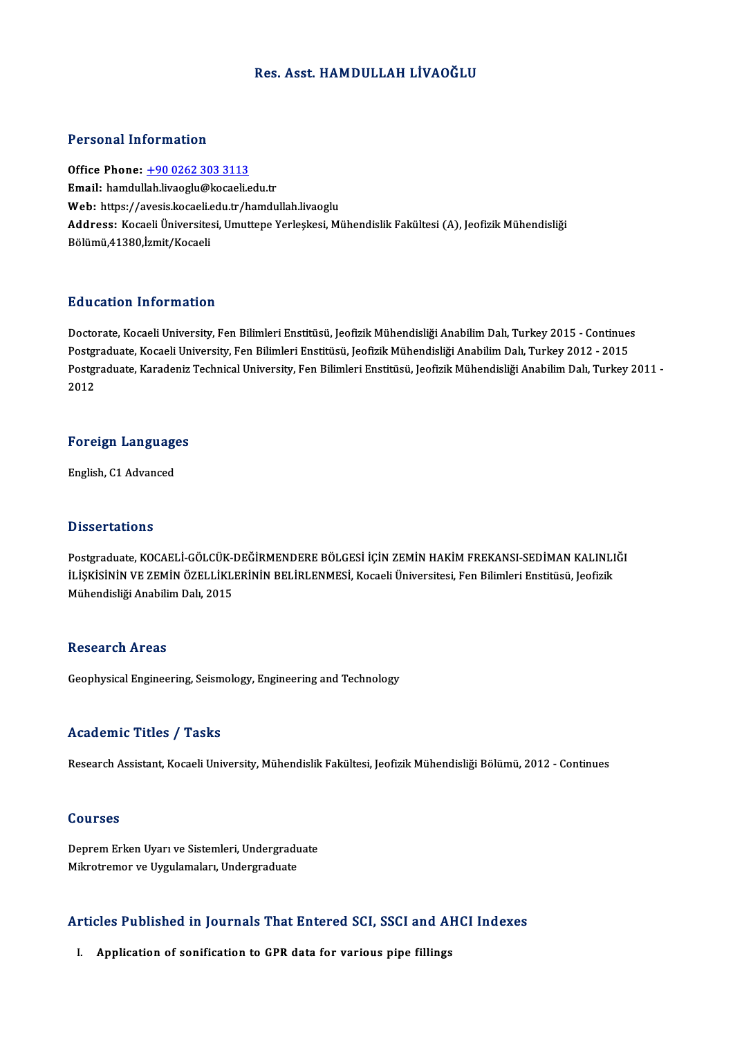### Res. Asst. HAMDULLAH LİVAOĞLU

#### Personal Information

Office Phone: +90 0262 303 3113 Email: hamdul[ah.livaoglu@kocaeli.e](tel:+90 0262 303 3113)du.tr Office Phone: <u>+90 0262 303 3113</u><br>Email: hamdullah.livaoglu@kocaeli.edu.tr<br>Web: https://avesis.kocaeli.edu.tr/hamdullah.livaoglu<br>Address: Kocaeli Üniversitesi Umuttene Verkeksej Mi Address: Kocaeli Üniversitesi, Umuttepe Yerleşkesi, Mühendislik Fakültesi (A), Jeofizik Mühendisliği<br>Bölümü,41380,İzmit/Kocaeli **Web:** https://avesis.kocaeli.e<br><mark>Address:</mark> Kocaeli Üniversite:<br>Bölümü,41380,İzmit/Kocaeli

#### Education Information

**Education Information**<br>Doctorate, Kocaeli University, Fen Bilimleri Enstitüsü, Jeofizik Mühendisliği Anabilim Dalı, Turkey 2015 - Continues<br>Postsraduate Kosaeli University, Fen Bilimleri Enstitüsü, Jeofizik Mühendisliği A Pu u susesi Timor inusion<br>Doctorate, Kocaeli University, Fen Bilimleri Enstitüsü, Jeofizik Mühendisliği Anabilim Dalı, Turkey 2015 - Continue:<br>Postgraduate, Kocaeli University, Fen Bilimleri Enstitüsü, Jeofizik Mühendisliğ Doctorate, Kocaeli University, Fen Bilimleri Enstitüsü, Jeofizik Mühendisliği Anabilim Dalı, Turkey 2015 - Continues<br>Postgraduate, Kocaeli University, Fen Bilimleri Enstitüsü, Jeofizik Mühendisliği Anabilim Dalı, Turkey 20 Postgi<br>Postgi<br>2012

# <sub>2012</sub><br>Foreign Languages <mark>Foreign Languag</mark>e<br>English, C1 Advanced

English, C1 Advanced<br>Dissertations

Dissertations<br>Postgraduate, KOCAELİ-GÖLCÜK-DEĞİRMENDERE BÖLGESİ İÇİN ZEMİN HAKİM FREKANSI-SEDİMAN KALINLIĞI<br>İLİSKİSİNİN VE ZEMİN ÖZELLİKI FRİNİN PELİDI FNMESİ, Koçali Üniversitesi, Eqn Bilimleri Enstitüsü, Logfisli D'isser tatre ns<br>Postgraduate, KOCAELİ-GÖLCÜK-DEĞİRMENDERE BÖLGESİ İÇİN ZEMİN HAKİM FREKANSI-SEDİMAN KALINLI<br>İLİŞKİSİNİN VE ZEMİN ÖZELLİKLERİNİN BELİRLENMESİ, Kocaeli Üniversitesi, Fen Bilimleri Enstitüsü, Jeofizik<br>Mühandi Postgraduate, KOCAELİ-GÖLCÜK-I<br>İLİŞKİSİNİN VE ZEMİN ÖZELLİKLI<br>Mühendisliği Anabilim Dalı, 2015 Mühendisliği Anabilim Dalı, 2015<br>Research Areas

Geophysical Engineering, Seismology, Engineering and Technology

#### Academic Titles / Tasks

Research Assistant, Kocaeli University, Mühendislik Fakültesi, Jeofizik Mühendisliği Bölümü, 2012 - Continues

#### Courses

Deprem Erken Uyarı ve Sistemleri, Undergraduate Mikrotremor ve Uygulamaları, Undergraduate

# мкготетог ve oyguamalari, ondergraduate<br>Articles Published in Journals That Entered SCI, SSCI and AHCI Indexes rticles Published in Journals That Entered SCI, SSCI and Al<br>I. Application of sonification to GPR data for various pipe fillings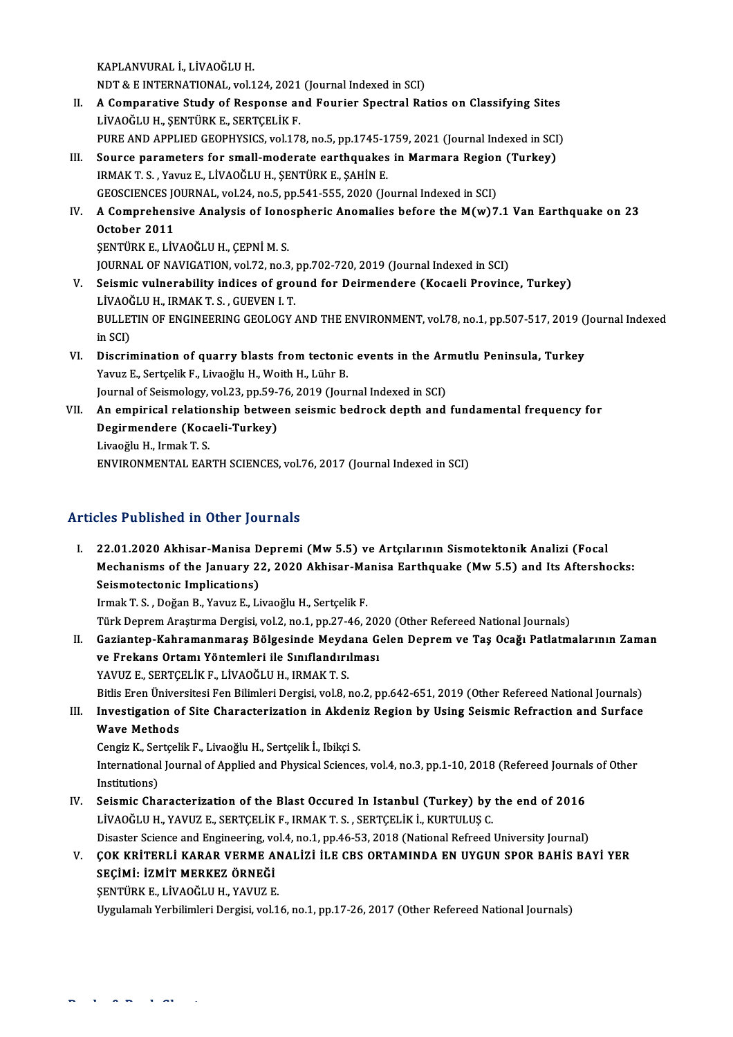KAPLANVURAL İ.,LİVAOĞLUH.

KAPLANVURAL İ., LİVAOĞLU H.<br>NDT & E INTERNATIONAL, vol.124, 2021 (Journal Indexed in SCI)<br>A Componative Study of Bernange and Fourier Spectral Bel

- II. A Comparative Study of Response and Fourier Spectral Ratios on Classifying Sites<br>LIVAOĞLU H., ŞENTÜRK E., SERTÇELİK F. NDT & E INTERNATIONAL, vol.124, 2021<br>A Comparative Study of Response ar<br>LİVAOĞLU H., ŞENTÜRK E., SERTÇELİK F.<br>PURE AND APRLIED GEOPHYSICS. vol.17 A Comparative Study of Response and Fourier Spectral Ratios on Classifying Sites<br>LiVAOĞLU H., ŞENTÜRK E., SERTÇELİK F.<br>PURE AND APPLIED GEOPHYSICS, vol.178, no.5, pp.1745-1759, 2021 (Journal Indexed in SCI)<br>Source paramete
- LİVAOĞLU H., ŞENTÜRK E., SERTÇELİK F.<br>PURE AND APPLIED GEOPHYSICS, vol.178, no.5, pp.1745-1759, 2021 (Journal Indexed in SCI<br>III. Source parameters for small-moderate earthquakes in Marmara Region (Turkey) PURE AND APPLIED GEOPHYSICS, vol.178, no.5, pp.1745-1<br>Source parameters for small-moderate earthquakes<br>IRMAK T. S. , Yavuz E., LİVAOĞLU H., ŞENTÜRK E., ŞAHİN E.<br>CEOSCIENCES JOUPNAL, vol.24, no.5, np.541,555,2020 (Jo III. Source parameters for small-moderate earthquakes in Marmara Region (Turkey)<br>IRMAK T. S., Yavuz E., LİVAOĞLU H., ŞENTÜRK E., ŞAHİN E.<br>GEOSCIENCES JOURNAL, vol.24, no.5, pp.541-555, 2020 (Journal Indexed in SCI)
- IRMAK T. S. , Yavuz E., LİVAOĞLU H., ŞENTÜRK E., ŞAHİN E.<br>GEOSCIENCES JOURNAL, vol.24, no.5, pp.541-555, 2020 (Journal Indexed in SCI)<br>IV. A Comprehensive Analysis of Ionospheric Anomalies before the M(w)7.1 Van Earthq **GEOSCIENCES JONA**<br>**October 2011**<br>SENTIDV E 110 A Comprehensive Analysis of Iono<br>October 2011<br>ŞENTÜRK E., LİVAOĞLU H., ÇEPNİ M. S.<br>JOUPNAL OF NAVIC ATION vel 72 ne 2 October 2011<br>ŞENTÜRK E., LİVAOĞLU H., ÇEPNİ M. S.<br>JOURNAL OF NAVIGATION, vol.72, no.3, pp.702-720, 2019 (Journal Indexed in SCI) SENTÜRK E., LİVAOĞLU H., ÇEPNİ M. S.<br>JOURNAL OF NAVIGATION, vol.72, no.3, pp.702-720, 2019 (Journal Indexed in SCI)<br>V. Seismic vulnerability indices of ground for Deirmendere (Kocaeli Province, Turkey)<br>LİVAOĞLU H. IBMAKT S
- **JOURNAL OF NAVIGATION, vol.72, no.3,<br>Seismic vulnerability indices of group**<br>LİVAOĞLU H., IRMAK T. S. , GUEVEN I. T.<br>PULLETIN OF ENCINEERING GEOLOCY Seismic vulnerability indices of ground for Deirmendere (Kocaeli Province, Turkey)<br>LİVAOĞLU H., IRMAK T. S. , GUEVEN I. T.<br>BULLETIN OF ENGINEERING GEOLOGY AND THE ENVIRONMENT, vol.78, no.1, pp.507-517, 2019 (Journal Indexe LİVAOČ<br>BULLET<br>in SCI)<br>Discrii BULLETIN OF ENGINEERING GEOLOGY AND THE ENVIRONMENT, vol.78, no.1, pp.507-517, 2019 (<br>in SCI)<br>VI. Discrimination of quarry blasts from tectonic events in the Armutlu Peninsula, Turkey<br>Vorus E. Serteelik E. Liveoğlu H. Weit
- in SCI)<br>Discrimination of quarry blasts from tectonic<br>Yavuz E., Sertçelik F., Livaoğlu H., Woith H., Lühr B.<br>Journal of Seismolegy, vol 22. np 59.76.2010 (Jour Discrimination of quarry blasts from tectonic events in the Arm<br>Yavuz E., Sertçelik F., Livaoğlu H., Woith H., Lühr B.<br>Journal of Seismology, vol.23, pp.59-76, 2019 (Journal Indexed in SCI)<br>An amninisal palationship hatwaa Yavuz E., Sertçelik F., Livaoğlu H., Woith H., Lühr B.<br>Journal of Seismology, vol.23, pp.59-76, 2019 (Journal Indexed in SCI)<br>VII. An empirical relationship between seismic bedrock depth and fundamental frequency for<br>Desin
- Journal of Seismology, vol.23, pp.59-<br>An empirical relationship betwee<br>Degirmendere (Kocaeli-Turkey)<br>Liveeğlu H. Jrmak T. S An empirical relation<br>Degirmendere (Koca<br>Livaoğlu H., Irmak T. S.<br>ENVIRONMENTAL EAR Degirmendere (Kocaeli-Turkey)<br>Livaoğlu H., Irmak T. S.<br>ENVIRONMENTAL EARTH SCIENCES, vol.76, 2017 (Journal Indexed in SCI)

## Articles Published in Other Journals

I. 22.01.2020 Akhisar-Manisa Depremi (Mw5.5) ve Artçılarının Sismotektonik Analizi (Focal Mechanisms of the January of the January<br>22.01.2020 Akhisar-Manisa Depremi (Mw 5.5) ve Artçılarının Sismotektonik Analizi (Focal<br>Mechanisms of the January 22, 2020 Akhisar-Manisa Earthquake (Mw 5.5) and Its Aftershocks:<br>Se Seismotectonic Implications)<br>Irmak T. S., Doğan B., Yavuz E., Livaoğlu H., Sertçelik F. Mechanisms of the January 22, 2020 Akhisar-Ma<br>Seismotectonic Implications)<br>Irmak T. S. , Doğan B., Yavuz E., Livaoğlu H., Sertçelik F.<br>Türk Densem Arestume Densisi vol 2 no 1 np 27.46.2

Türk Deprem Araştırma Dergisi, vol.2, no.1, pp.27-46, 2020 (Other Refereed National Journals)

- Irmak T. S. , Doğan B., Yavuz E., Livaoğlu H., Sertçelik F.<br>Türk Deprem Araştırma Dergisi, vol.2, no.1, pp.27-46, 2020 (Other Refereed National Journals)<br>II. Gaziantep-Kahramanmaraş Bölgesinde Meydana Gelen Deprem ve T Türk Deprem Araştırma Dergisi, vol.2, no.1, pp.27-46, 202<br>Gaziantep-Kahramanmaraş Bölgesinde Meydana G<br>ve Frekans Ortamı Yöntemleri ile Sınıflandırılması<br>vAVUZ E. SERTCELİK E. LİVAQĞLU H. IBMAK T. S Gaziantep-Kahramanmaraş Bölgesinde Meyda<br>ve Frekans Ortamı Yöntemleri ile Sınıflandırı<br>YAVUZ E., SERTÇELİK F., LİVAOĞLU H., IRMAKT. S.<br>Bitlie Enen Üniversitesi Fen Bilimleri Dergisi vel 9. ı ve Frekans Ortamı Yöntemleri ile Sınıflandırılması<br>YAVUZ E., SERTÇELİK F., LİVAOĞLU H., IRMAK T. S.<br>Bitlis Eren Üniversitesi Fen Bilimleri Dergisi, vol.8, no.2, pp.642-651, 2019 (Other Refereed National Journals)<br>Investiga YAVUZ E., SERTÇELİK F., LİVAOĞLU H., IRMAK T. S.<br>Bitlis Eren Üniversitesi Fen Bilimleri Dergisi, vol.8, no.2, pp.642-651, 2019 (Other Refereed National Journals)<br>III. Investigation of Site Characterization in Akdeniz Regio
- Bitlis Eren Üniver<br>Investigation o<br>Wave Methods<br>Congiz K. Sortsell III. Investigation of Site Characterization in Akdeniz Region by Using Seismic Refraction and Surface<br>Wave Methods<br>Cengiz K., Sertçelik F., Livaoğlu H., Sertçelik İ., Ibikçi S.

Wave Methods<br>Cengiz K., Sertçelik F., Livaoğlu H., Sertçelik İ., Ibikçi S.<br>International Journal of Applied and Physical Sciences, vol.4, no.3, pp.1-10, 2018 (Refereed Journals of Other<br>Institutions) Cengiz K., Ser<br>International<br>Institutions)<br>Soismic Che International Journal of Applied and Physical Sciences, vol.4, no.3, pp.1-10, 2018 (Refereed Journal<br>Institutions)<br>IV. Seismic Characterization of the Blast Occured In Istanbul (Turkey) by the end of 2016<br>INAOČULH VAVUZE S

- Institutions)<br>IV. Seismic Characterization of the Blast Occured In Istanbul (Turkey) by the end of 2016<br>LIVAOĞLU H., YAVUZ E., SERTÇELİK F., IRMAKT.S. , SERTÇELİK İ., KURTULUŞ C. Disaster Science and Engineering, vol.4, no.1, pp.46-53, 2018 (National Refreed University Journal)
- LİVAOĞLU H., YAVUZ E., SERTÇELİK F., IRMAK T. S. , SERTÇELİK İ., KURTULUŞ C.<br>Disaster Science and Engineering, vol.4, no.1, pp.46-53, 2018 (National Refreed University Journal)<br>V. COK KRİTERLİ KARAR VERME ANALİZİ İLE CBS O Disaster Science and Engineering, vo<br>COK KRİTERLİ KARAR VERME A<br>SEÇİMİ: İZMİT MERKEZ ÖRNEĞİ<br>SENTÜRKE LİVAQĞLILH YAYUZ E ÇOK KRİTERLİ KARAR VERME AN<br>SEÇİMİ: İZMİT MERKEZ ÖRNEĞİ<br>ŞENTÜRK E., LİVAOĞLU H., YAVUZ E.<br>Uyaylamalı Yarhilimlari Dargisi yal 1 SEÇİMİ: İZMİT MERKEZ ÖRNEĞİ<br>ŞENTÜRK E., LİVAOĞLU H., YAVUZ E.<br>Uygulamalı Yerbilimleri Dergisi, vol.16, no.1, pp.17-26, 2017 (Other Refereed National Journals)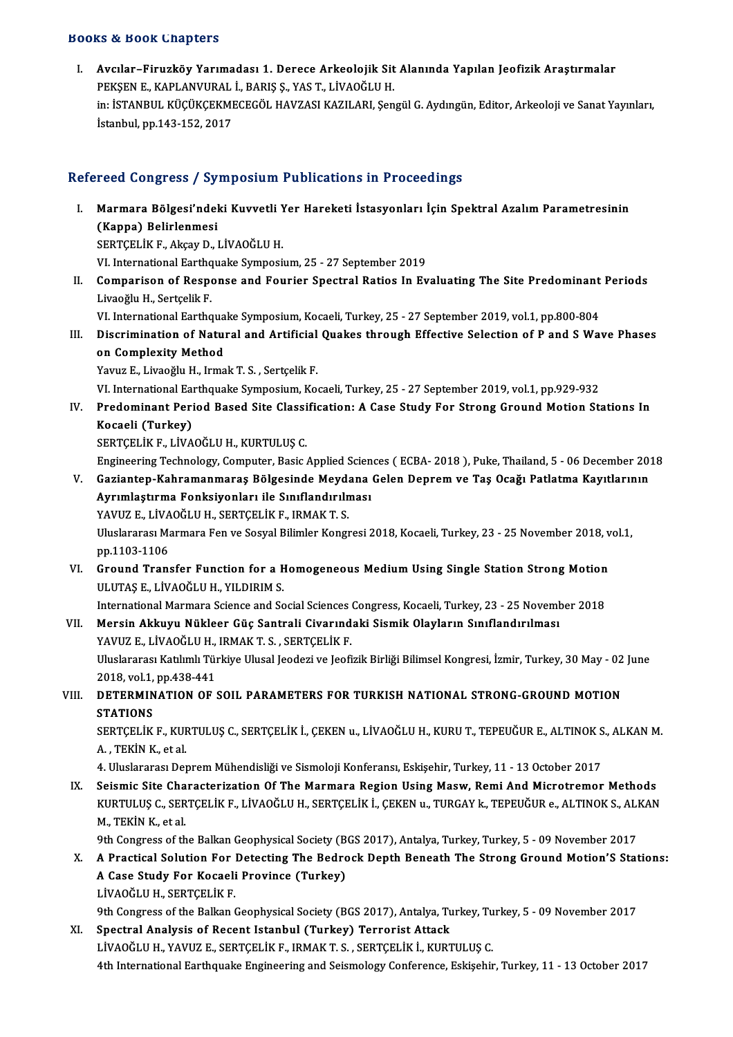#### Books&Book Chapters

I. Avcılar–Firuzköy Yarımadası 1. Derece Arkeolojik Sit Alanında Yapılan Jeofizik Araştırmalar r.<br>Avcılar–Firuzköy Yarımadası 1. Derece Arkeolojik Sit<br>PEKŞEN E., KAPLANVURAL İ., BARIŞ Ş., YAS T., LİVAOĞLU H.<br>in. İSTANPUL KÜÇÜKÇEKMEÇEÇÖL HAVZASI KAZU APL San in: İSTANBUL KÜÇÜKÇEKMECEGÖL HAVZASI KAZILARI, Şengül G. Aydıngün, Editor, Arkeoloji ve Sanat Yayınları,<br>İstanbul, pp.143-152, 2017 PEKŞEN E., KAPLANVURAL<br>in: İSTANBUL KÜÇÜKÇEKMI<br>İstanbul, pp.143-152, 2017

# Refereed Congress / Symposium Publications in Proceedings

efereed Congress / Symposium Publications in Proceedings<br>I. Marmara Bölgesi'ndeki Kuvvetli Yer Hareketi İstasyonları İçin Spektral Azalım Parametresinin<br>(Kanna) Pelirlenmesi (Kappa) Belirlenmesi<br>(Kappa) Belirlenmesi<br>SEPTCELİK E. Aksay D. 1 Marmara Bölgesi'ndeki Kuvvetli Y<br>(Kappa) Belirlenmesi<br>SERTÇELİK F., Akçay D., LİVAOĞLU H.<br>VI International Farthauelio Sumnesi (Kappa) Belirlenmesi<br>SERTÇELİK F., Akçay D., LİVAOĞLU H.<br>VI. International Earthquake Symposium, 25 - 27 September 2019

SERTÇELİK F., Akçay D., LİVAOĞLU H.<br>VI. International Earthquake Symposium, 25 - 27 September 2019<br>II. Comparison of Response and Fourier Spectral Ratios In Evaluating The Site Predominant Periods<br>I ivaeğlu H. Sertseli VI. International Earthq<br>**Comparison of Resp**<br>Livaoğlu H., Sertçelik F.<br><sup>VI.</sup> International Earthq Comparison of Response and Fourier Spectral Ratios In Evaluating The Site Predominant<br>Livaoğlu H., Sertçelik F.<br>VI. International Earthquake Symposium, Kocaeli, Turkey, 25 - 27 September 2019, vol.1, pp.800-804<br>Discriminat

VI. International Earthquake Symposium, Kocaeli, Turkey, 25 - 27 September 2019, vol.1, pp.800-804

Livaoğlu H., Sertçelik F.<br>VI. International Earthquake Symposium, Kocaeli, Turkey, 25 - 27 September 2019, vol.1, pp.800-804<br>III. Discrimination of Natural and Artificial Quakes through Effective Selection of P and S Wave on Complexity Method<br>Yavuz E., Livaoğlu H., Irmak T. S. , Sertçelik F.<br>VI. International Earthquake Symposium, Kocaeli, Turkey, 25 - 27 September 2019, vol.1, pp.929-932<br>Predeminant Period Pased Site Classifisation: A Case

Yavuz E., Livaoğlu H., Irmak T. S., Sertçelik F.

IV. Predominant Period Based Site Classification: A Case Study For Strong Ground Motion Stations In VI. International Ear<br>Predominant Peri<br>Kocaeli (Turkey)<br>SERTCELİK ELİVA Kocaeli (Turkey)<br>SERTÇELİK F., LİVAOĞLU H., KURTULUŞ C.<br>Engineering Technology, Computer, Basic Applied Sciences ( ECBA- 2018 ), Puke, Thailand, 5 - 06 December 2018<br>Corianten Kahramanmanas Bölgseinde Meydana Celan Denrem

SERTÇELİK F., LİVAOĞLU H., KURTULUŞ C.

- SERTÇELİK F., LİVAOĞLU H., KURTULUŞ C.<br>Engineering Technology, Computer, Basic Applied Sciences ( ECBA- 2018 ), Puke, Thailand, 5 06 December 2013<br>V. Gaziantep-Kahramanmaraş Bölgesinde Meydana Gelen Deprem ve Taş Ocağı P Engineering Technology, Computer, Basic Applied Scien<br>Gaziantep-Kahramanmaraş Bölgesinde Meydana<br>Ayrımlaştırma Fonksiyonları ile Sınıflandırılması<br>YAVUZ E LİVAQČLU H. SERTCELİK E. IRMAK T. S Gaziantep-Kahramanmaraş Bölgesinde Meyda<br>Ayrımlaştırma Fonksiyonları ile Sınıflandırılı<br>YAVUZ E., LİVAOĞLU H., SERTÇELİK F., IRMAKT. S.<br>Uluslararası Marmara Fan*ve Sosu*al Bilimler Kongr Ayrımlaştırma Fonksiyonları ile Sınıflandırılması<br>YAVUZ E., LİVAOĞLU H., SERTÇELİK F., IRMAK T. S.<br>Uluslararası Marmara Fen ve Sosyal Bilimler Kongresi 2018, Kocaeli, Turkey, 23 - 25 November 2018, vol.1,<br>pp.1103-1106 YAVUZ E., LİVAOĞLU H., SERTÇELİK F., IRMAK T. S.
- VI. Uluslararası Marmara Fen ve Sosyal Bilimler Kongresi 2018, Kocaeli, Turkey, 23 25 November 2018, v<br>pp.1103-1106<br>VI. Ground Transfer Function for a Homogeneous Medium Using Single Station Strong Motion<br>III UTAS E J İV pp.1103-1106<br>Ground Transfer Function for a H<br>ULUTAŞ E., LİVAOĞLU H., YILDIRIM S.<br>International Mermere Science and Se Ground Transfer Function for a Homogeneous Medium Using Single Station Strong Motion<br>ULUTAȘ E., LİVAOĞLU H., YILDIRIM S.<br>International Marmara Science and Social Sciences Congress, Kocaeli, Turkey, 23 - 25 November 2018<br>Ma

VLUTAŞ E., LİVAOĞLU H., YILDIRIM S.<br>International Marmara Science and Social Sciences Congress, Kocaeli, Turkey, 23 - 25 Novemb<br>VII. Mersin Akkuyu Nükleer Güç Santrali Civarındaki Sismik Olayların Sınıflandırılması International Marmara Science and Social Sciences<br>Mersin Akkuyu Nükleer Güç Santrali Civarınd<br>YAVUZ E., LİVAOĞLU H., IRMAK T. S. , SERTÇELİK F.<br>Uluslararası Katılımlı Türkiye Ulusal Isadesi ve Jaafi

Uluslararası Katılımlı Türkiye Ulusal Jeodezi ve Jeofizik Birliği Bilimsel Kongresi, İzmir, Turkey, 30 May - 02 June<br>2018, vol.1, pp.438-441 YAVUZ E., LİVAOĞLU H., IRMAK T. S., SERTCELİK F. Uluslararası Katılımlı Türkiye Ulusal Jeodezi ve Jeofizik Birliği Bilimsel Kongresi, İzmir, Turkey, 30 May - 02<br>2018, vol.1, pp.438-441<br>VIII. DETERMINATION OF SOIL PARAMETERS FOR TURKISH NATIONAL STRONG-GROUND MOTION<br>S

# 2018, vol.1,<br>DETERMIN<br>STATIONS<br>SERTCELIV DETERMINATION OF SOIL PARAMETERS FOR TURKISH NATIONAL STRONG-GROUND MOTION<br>STATIONS<br>SERTÇELİK F., KURTULUŞ C., SERTÇELİK İ., ÇEKEN u., LİVAOĞLU H., KURU T., TEPEUĞUR E., ALTINOK S., ALKAN M.<br>A., TEKİN K. at.al

STATIONS<br>SERTÇELİK F., KUF<br>A. , TEKİN K., et al.<br>4. Uluslaranası Dar SERTÇELİK F., KURTULUŞ C., SERTÇELİK İ., ÇEKEN u., LİVAOĞLU H., KURU T., TEPEUĞUR E., ALTINOK S<br>A. , TEKİN K., et al.<br>4. Uluslararası Deprem Mühendisliği ve Sismoloji Konferansı, Eskişehir, Turkey, 11 - 13 October 2017<br>Sej

A. , TEKİN K., et al.<br>1. Uluslararası Deprem Mühendisliği ve Sismoloji Konferansı, Eskişehir, Turkey, 11 - 13 October 2017<br>18. Seismic Site Characterization Of The Marmara Region Using Masw, Remi And Microtremor Methods<br>11 4. Uluslararası Deprem Mühendisliği ve Sismoloji Konferansı, Eskişehir, Turkey, 11 - 13 October 2017<br>Seismic Site Characterization Of The Marmara Region Using Masw, Remi And Microtremor Methods<br>KURTULUŞ C., SERTÇELİK F., L Seismic Site Cha<br>KURTULUŞ C., SER<br>M., TEKİN K., et al.<br><sup>Oth</sup> Congress of t<sup>h</sup> KURTULUŞ C., SERTÇELİK F., LİVAOĞLU H., SERTÇELİK İ., ÇEKEN u., TURGAY k., TEPEUĞUR e., ALTINOK S., ALKAN<br>M., TEKİN K., et al.<br>9th Congress of the Balkan Geophysical Society (BGS 2017), Antalya, Turkey, Turkey, 5 - 09 Nove

M., TEKİN K., et al.<br>9th Congress of the Balkan Geophysical Society (BGS 2017), Antalya, Turkey, Turkey, 5 - 09 November 2017<br>2. A Practical Solution For Detecting The Bedrock Depth Beneath The Strong Ground Motion'S Stati 9th Congress of the Balkan Geophysical Society (B<br>A Practical Solution For Detecting The Bedro<br>A Case Study For Kocaeli Province (Turkey)<br>UNAOČULU SEPTCELIKE **A Practical Solution For |<br>A Case Study For Kocaeli<br>LİVAOĞLU H., SERTÇELİK F.<br>9th Congress of the Bellian (** 9th Case Study For Kocaeli Province (Turkey)<br>LiVAOĞLU H., SERTÇELİK F.<br>9th Congress of the Balkan Geophysical Society (BGS 2017), Antalya, Turkey, Turkey, 5 - 09 November 2017

## XI. Spectral Analysis of Recent Istanbul (Turkey) Terrorist Attack LİVAOĞLU H., YAVUZ E., SERTÇELİK F., IRMAK T. S., SERTÇELİK İ., KURTULUŞ C. 4th International Earthquake Engineering and Seismology Conference, Eskişehir, Turkey, 11 - 13 October 2017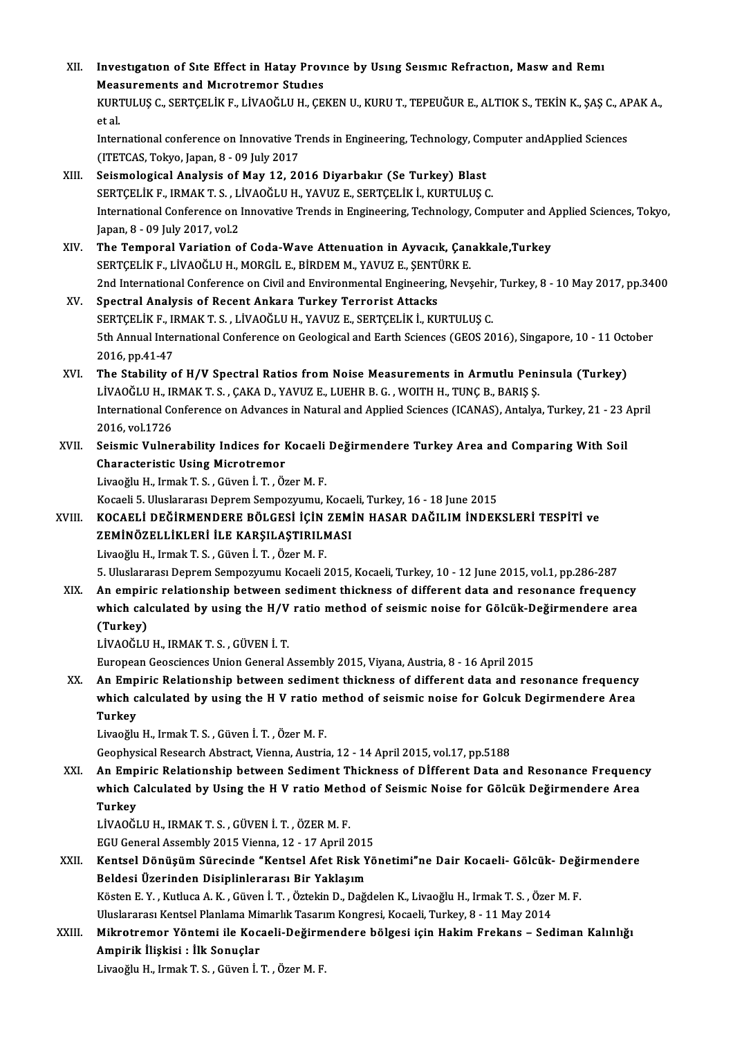| XII.   | Investigation of Site Effect in Hatay Province by Using Seismic Refraction, Masw and Remi                                                           |
|--------|-----------------------------------------------------------------------------------------------------------------------------------------------------|
|        | <b>Measurements and Microtremor Studies</b>                                                                                                         |
|        | KURTULUŞ C., SERTÇELİK F., LİVAOĞLU H., ÇEKEN U., KURU T., TEPEUĞUR E., ALTIOK S., TEKİN K., ŞAŞ C., APAK A.,<br>et al.                             |
|        | International conference on Innovative Trends in Engineering, Technology, Computer and Applied Sciences<br>(ITETCAS, Tokyo, Japan, 8 - 09 July 2017 |
| XIII.  | Seismological Analysis of May 12, 2016 Diyarbakır (Se Turkey) Blast                                                                                 |
|        | SERTÇELİK F., IRMAK T. S., LİVAOĞLU H., YAVUZ E., SERTÇELİK İ., KURTULUŞ C.                                                                         |
|        | International Conference on Innovative Trends in Engineering, Technology, Computer and Applied Sciences, Tokyo,                                     |
|        | Japan, 8 - 09 July 2017, vol 2                                                                                                                      |
| XIV.   | The Temporal Variation of Coda-Wave Attenuation in Ayvacık, Çanakkale,Turkey                                                                        |
|        | SERTÇELİK F., LİVAOĞLU H., MORGİL E., BİRDEM M., YAVUZ E., ŞENTÜRK E.                                                                               |
|        | 2nd International Conference on Civil and Environmental Engineering, Nevșehir, Turkey, 8 - 10 May 2017, pp.3400                                     |
| XV.    | Spectral Analysis of Recent Ankara Turkey Terrorist Attacks                                                                                         |
|        | SERTÇELİK F., IRMAK T. S., LİVAOĞLU H., YAVUZ E., SERTÇELİK İ., KURTULUŞ C.                                                                         |
|        | 5th Annual International Conference on Geological and Earth Sciences (GEOS 2016), Singapore, 10 - 11 October                                        |
|        | 2016, pp.41-47                                                                                                                                      |
| XVI.   | The Stability of H/V Spectral Ratios from Noise Measurements in Armutlu Peninsula (Turkey)                                                          |
|        | LİVAOĞLU H., IRMAK T. S., ÇAKA D., YAVUZ E., LUEHR B. G., WOITH H., TUNÇ B., BARIŞ Ş.                                                               |
|        | International Conference on Advances in Natural and Applied Sciences (ICANAS), Antalya, Turkey, 21 - 23 April                                       |
|        | 2016, vol.1726                                                                                                                                      |
| XVII.  | Seismic Vulnerability Indices for Kocaeli Değirmendere Turkey Area and Comparing With Soil                                                          |
|        | <b>Characteristic Using Microtremor</b>                                                                                                             |
|        | Livaoğlu H., Irmak T. S., Güven İ. T., Özer M. F.                                                                                                   |
|        | Kocaeli 5. Uluslararası Deprem Sempozyumu, Kocaeli, Turkey, 16 - 18 June 2015                                                                       |
| XVIII. | KOCAELİ DEĞİRMENDERE BÖLGESİ İÇİN ZEMİN HASAR DAĞILIM İNDEKSLERİ TESPİTİ ve                                                                         |
|        | ZEMİNÖZELLİKLERİ İLE KARŞILAŞTIRILMASI                                                                                                              |
|        | Livaoğlu H., Irmak T. S., Güven İ. T., Özer M. F.                                                                                                   |
|        | 5. Uluslararası Deprem Sempozyumu Kocaeli 2015, Kocaeli, Turkey, 10 - 12 June 2015, vol.1, pp.286-287                                               |
| XIX.   | An empiric relationship between sediment thickness of different data and resonance frequency                                                        |
|        | which calculated by using the H/V ratio method of seismic noise for Gölcük-Değirmendere area                                                        |
|        | (Turkey)                                                                                                                                            |
|        | LİVAOĞLU H., IRMAK T. S., GÜVEN İ. T.                                                                                                               |
|        | European Geosciences Union General Assembly 2015, Viyana, Austria, 8 - 16 April 2015                                                                |
| XX.    | An Empiric Relationship between sediment thickness of different data and resonance frequency                                                        |
|        | which calculated by using the H V ratio method of seismic noise for Golcuk Degirmendere Area<br><b>Turkey</b>                                       |
|        | Livaoğlu H., Irmak T. S., Güven İ. T., Özer M. F.                                                                                                   |
|        | Geophysical Research Abstract, Vienna, Austria, 12 - 14 April 2015, vol.17, pp.5188                                                                 |
| XXI.   | An Empiric Relationship between Sediment Thickness of Dİfferent Data and Resonance Frequency                                                        |
|        | which Calculated by Using the H V ratio Method of Seismic Noise for Gölcük Değirmendere Area                                                        |
|        | <b>Turkey</b>                                                                                                                                       |
|        | LİVAOĞLU H., IRMAK T. S., GÜVEN İ. T., ÖZER M. F.                                                                                                   |
|        | EGU General Assembly 2015 Vienna, 12 - 17 April 2015                                                                                                |
| XXII.  | Kentsel Dönüşüm Sürecinde "Kentsel Afet Risk Yönetimi"ne Dair Kocaeli- Gölcük- Değirmendere                                                         |
|        | Beldesi Üzerinden Disiplinlerarası Bir Yaklaşım                                                                                                     |
|        | Kösten E.Y., Kutluca A.K., Güven İ.T., Öztekin D., Dağdelen K., Livaoğlu H., Irmak T.S., Özer M.F.                                                  |
|        | Uluslararası Kentsel Planlama Mimarlık Tasarım Kongresi, Kocaeli, Turkey, 8 - 11 May 2014                                                           |
| XXIII. | Mikrotremor Yöntemi ile Kocaeli-Değirmendere bölgesi için Hakim Frekans - Sediman Kalınlığı                                                         |
|        | Ampirik İlişkisi : İlk Sonuçlar                                                                                                                     |
|        | Livaoğlu H., Irmak T. S., Güven İ. T., Özer M. F.                                                                                                   |
|        |                                                                                                                                                     |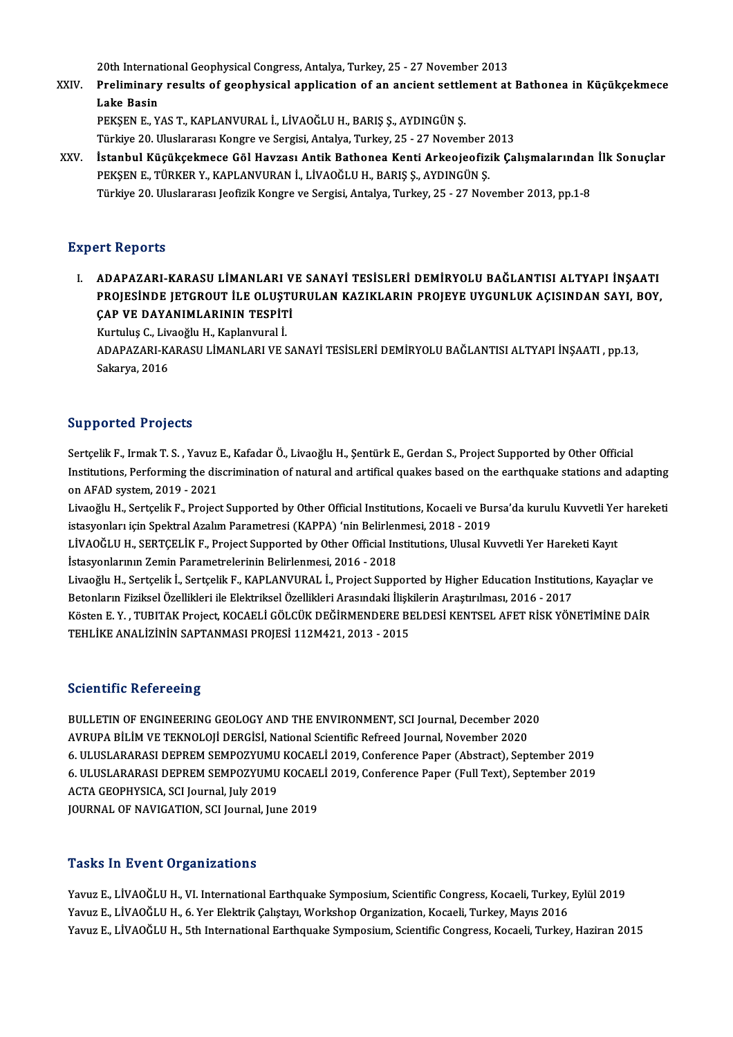20th International Geophysical Congress, Antalya, Turkey, 25 - 27 November 2013<br>Preliminary results of geophysical application of an angient esttlement at

XXIV. Preliminary results of geophysical application of an ancient settlement at Bathonea in Küçükçekmece 20th Internat<br>Preliminary<br>Lake Basin<br>PEKEN E. V Lake Basin<br>PEKŞEN E., YAS T., KAPLANVURAL İ., LİVAOĞLU H., BARIŞ Ş., AYDINGÜN Ş.<br>Türkiye 20. Uluslararası Kongre ve Sergisi, Antalya, Turkey, 25 - 27 November 2013<br>İstanbul Küsüksekmese Göl Hayrası, Antik Bathenes Kenti Ar

PEKŞEN E., YAS T., KAPLANVURAL İ., LİVAOĞLU H., BARIŞ Ş., AYDINGÜN Ş.

PEKŞEN E., YAS T., KAPLANVURAL İ., LİVAOĞLU H., BARIŞ Ş., AYDINGÜN Ş.<br>Türkiye 20. Uluslararası Kongre ve Sergisi, Antalya, Turkey, 25 - 27 November 2013<br>XXV. İstanbul Küçükçekmece Göl Havzası Antik Bathonea Kenti Arkeojeof Türkiye 20. Uluslararası Kongre ve Sergisi, Antalya, Turkey, 25 - 27 November 2<br>İstanbul Küçükçekmece Göl Havzası Antik Bathonea Kenti Arkeojeofiz<br>PEKŞEN E., TÜRKER Y., KAPLANVURAN İ., LİVAOĞLU H., BARIŞ Ş., AYDINGÜN Ş.<br>Tü İstanbul Küçükçekmece Göl Havzası Antik Bathonea Kenti Arkeojeofizik Çalışmalarından<br>PEKŞEN E., TÜRKER Y., KAPLANVURAN İ., LİVAOĞLU H., BARIŞ Ş., AYDINGÜN Ş.<br>Türkiye 20. Uluslararası Jeofizik Kongre ve Sergisi, Antalya, Tu Türkiye 20. Uluslararası Jeofizik Kongre ve Sergisi, Antalya, Turkey, 25 - 27 November 2013, pp.1-8<br>Expert Reports

I.<br>I. ADAPAZARI-KARASU LİMANLARI VE SANAYİ TESİSLERİ DEMİRYOLU BAĞLANTISI ALTYAPI İNŞAATI<br>PROJESİNDE JETCROJIT İLE OLUSTURULAN KAZIKI ARIN PROJEVE UVCUNLUK ACISINDAN SAVL ROV ITE ROPOTES<br>ADAPAZARI-KARASU LİMANLARI VE SANAYİ TESİSLERİ DEMİRYOLU BAĞLANTISI ALTYAPI İNŞAATI<br>PROJESİNDE JETGROUT İLE OLUŞTURULAN KAZIKLARIN PROJEYE UYGUNLUK AÇISINDAN SAYI, BOY,<br>CAR VE DAYANIMI ARININ TESRİTİ ADAPAZARI-KARASU LİMANLARI V<br>PROJESİNDE JETGROUT İLE OLUŞTI<br>ÇAP VE DAYANIMLARININ TESPİTİ<br>Kurtulus G. Livesğlu H. Karlarınını İ PROJESİNDE JETGROUT İLE OLUŞT<br>ÇAP VE DAYANIMLARININ TESPİT<br>Kurtuluş C., Livaoğlu H., Kaplanvural İ.<br>ADARAZARI KARASILLİMANI ARLYES

ÇAP VE DAYANIMLARININ TESPİTİ<br>Kurtuluş C., Livaoğlu H., Kaplanvural İ.<br>ADAPAZARI-KARASU LİMANLARI VE SANAYİ TESİSLERİ DEMİRYOLU BAĞLANTISI ALTYAPI İNŞAATI , pp.13,<br>Sakarıra 2016 Kurtuluş C., Liv<br>ADAPAZARI-K*ı*<br>Sakarya, 2016

# Sakarya, 2016<br>Supported Projects

Supported Projects<br>Sertçelik F., Irmak T. S. , Yavuz E., Kafadar Ö., Livaoğlu H., Şentürk E., Gerdan S., Project Supported by Other Official<br>Institutions, Performing the discrimination of natural and artifical qualse based Burpported in rejects<br>Sertçelik F., Irmak T. S. , Yavuz E., Kafadar Ö., Livaoğlu H., Şentürk E., Gerdan S., Project Supported by Other Official<br>Institutions, Performing the discrimination of natural and artifical quakes ba Sertçelik F., Irmak T. S. , Yavuz<br>Institutions, Performing the dis<br>on AFAD system, 2019 - 2021<br>Liveoğlu H. Sertselik E. Prejec Institutions, Performing the discrimination of natural and artifical quakes based on the earthquake stations and adapting<br>on AFAD system, 2019 - 2021<br>Livaoğlu H., Sertçelik F., Project Supported by Other Official Instituti

on AFAD system, 2019 - 2021<br>Livaoğlu H., Sertçelik F., Project Supported by Other Official Institutions, Kocaeli ve Bursa'da kurulu Kuvvetli Yer hareketi<br>istasyonları için Spektral Azalım Parametresi (KAPPA) 'nin Belirlenm Livaoğlu H., Sertçelik F., Project Supported by Other Official Institutions, Kocaeli ve Bursa'da kurulu Kuvvetli Ye<br>istasyonları için Spektral Azalım Parametresi (KAPPA) 'nin Belirlenmesi, 2018 - 2019<br>LİVAOĞLU H., SERTÇELİ

istasyonları için Spektral Azalım Parametresi (KAPPA) 'nin Belirlen<br>LİVAOĞLU H., SERTÇELİK F., Project Supported by Other Official In:<br>İstasyonlarının Zemin Parametrelerinin Belirlenmesi, 2016 - 2018<br>Livooğlu H. Serteslik LİVAOĞLU H., SERTÇELİK F., Project Supported by Other Official Institutions, Ulusal Kuvvetli Yer Hareketi Kayıt<br>İstasyonlarının Zemin Parametrelerinin Belirlenmesi, 2016 - 2018<br>Livaoğlu H., Sertçelik İ., Sertçelik F., KAPL

İstasyonlarının Zemin Parametrelerinin Belirlenmesi, 2016 - 2018<br>Livaoğlu H., Sertçelik İ., Sertçelik F., KAPLANVURAL İ., Project Supported by Higher Education Institution<br>Betonların Fiziksel Özellikleri ile Elektriksel Öz Livaoğlu H., Sertçelik İ., Sertçelik F., KAPLANVURAL İ., Project Supported by Higher Education Institutions, Kayaçlar ve<br>Betonların Fiziksel Özellikleri ile Elektriksel Özellikleri Arasındaki İlişkilerin Araştırılması, 201

Betonların Fiziksel Özellikleri ile Elektriksel Özellikleri Arasındaki İlişkilerin Araştırılması, 2016 - 2017<br>Kösten E. Y. , TUBITAK Project, KOCAELİ GÖLCÜK DEĞİRMENDERE BELDESİ KENTSEL AFET RİSK YÖNETİMİNE DAİR<br>TEHLİKE AN

### **Scientific Refereeing**

Scientific Refereeing<br>BULLETIN OF ENGINEERING GEOLOGY AND THE ENVIRONMENT, SCI Journal, December 2020<br>AVRURA RH IM VE TEKNOLOU DERCISI National Scientific Befreed Journal Nevember 2020 BULLETIN OF ENGINEERING GEOLOGY AND THE ENVIRONMENT, SCI Journal, December 202<br>AVRUPA BİLİM VE TEKNOLOJİ DERGİSİ, National Scientific Refreed Journal, November 2020<br>6. III USLARARI DERREM SEMPOZYUMLI KOCAEL İ 2019, Confere 6. AVRUPA BİLİM VE TEKNOLOJİ DERGİSİ, National Scientific Refreed Journal, November 2020<br>6. ULUSLARARASI DEPREM SEMPOZYUMU KOCAELİ 2019, Conference Paper (Abstract), September 2019 AVRUPA BİLİM VE TEKNOLOJİ DERGİSİ, National Scientific Refreed Journal, November 2020<br>6. ULUSLARARASI DEPREM SEMPOZYUMU KOCAELİ 2019, Conference Paper (Abstract), September 2019<br>6. ULUSLARARASI DEPREM SEMPOZYUMU KOCAELİ 20 6. ULUSLARARASI DEPREM SEMPOZYUMU<br>6. ULUSLARARASI DEPREM SEMPOZYUMU<br>ACTA GEOPHYSICA, SCI Journal, July 2019<br>JOUPNAL OE NAVICATION, SCI Journal Jur 6. ULUSLARARASI DEPREM SEMPOZYUMU KOCAEI<br>ACTA GEOPHYSICA, SCI Journal, July 2019<br>JOURNAL OF NAVIGATION, SCI Journal, June 2019 JOURNAL OF NAVIGATION, SCI Journal, June 2019<br>Tasks In Event Organizations

Tasks In Event Organizations<br>Yavuz E., LİVAOĞLU H., VI. International Earthquake Symposium, Scientific Congress, Kocaeli, Turkey, Eylül 2019<br>Yavuz E. LİVAOĞLU H. 6. Yar Elektrik Colutayn Workshop Organization Kosaeli, Turk Yavuz E., LİVAOĞLU H., VI. International Earthquake Symposium, Scientific Congress, Kocaeli, Turkey,<br>Yavuz E., LİVAOĞLU H., 6. Yer Elektrik Çalıştayı, Workshop Organization, Kocaeli, Turkey, Mayıs 2016<br>Yavuz E., LİVAOĞLU H Yavuz E., LİVAOĞLU H., VI. International Earthquake Symposium, Scientific Congress, Kocaeli, Turkey, Eylül 2019<br>Yavuz E., LİVAOĞLU H., 6. Yer Elektrik Çalıştayı, Workshop Organization, Kocaeli, Turkey, Mayıs 2016<br>Yavuz E.,